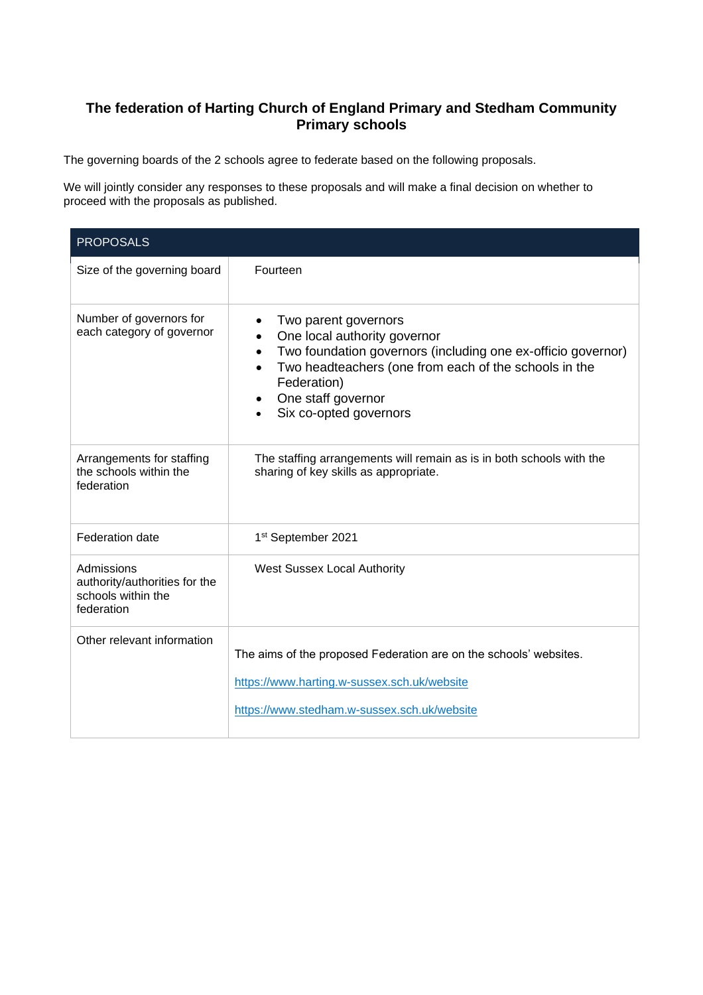## **The federation of Harting Church of England Primary and Stedham Community Primary schools**

The governing boards of the 2 schools agree to federate based on the following proposals.

We will jointly consider any responses to these proposals and will make a final decision on whether to proceed with the proposals as published.

| <b>PROPOSALS</b>                                                                |                                                                                                                                                                                                                                              |
|---------------------------------------------------------------------------------|----------------------------------------------------------------------------------------------------------------------------------------------------------------------------------------------------------------------------------------------|
| Size of the governing board                                                     | Fourteen                                                                                                                                                                                                                                     |
| Number of governors for<br>each category of governor                            | Two parent governors<br>One local authority governor<br>Two foundation governors (including one ex-officio governor)<br>Two headteachers (one from each of the schools in the<br>Federation)<br>One staff governor<br>Six co-opted governors |
| Arrangements for staffing<br>the schools within the<br>federation               | The staffing arrangements will remain as is in both schools with the<br>sharing of key skills as appropriate.                                                                                                                                |
| Federation date                                                                 | 1st September 2021                                                                                                                                                                                                                           |
| Admissions<br>authority/authorities for the<br>schools within the<br>federation | <b>West Sussex Local Authority</b>                                                                                                                                                                                                           |
| Other relevant information                                                      | The aims of the proposed Federation are on the schools' websites.<br>https://www.harting.w-sussex.sch.uk/website<br>https://www.stedham.w-sussex.sch.uk/website                                                                              |